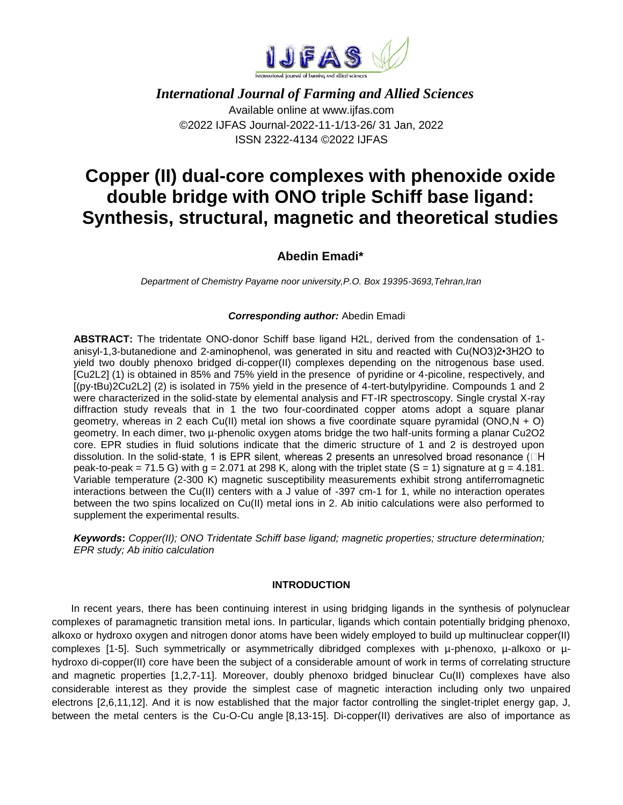

 *International Journal of Farming and Allied Sciences* Available online at www.ijfas.com ©2022 IJFAS Journal-2022-11-1/13-26/ 31 Jan, 2022 ISSN 2322-4134 ©2022 IJFAS

# **Copper (II) dual-core complexes with phenoxide oxide double bridge with ONO triple Schiff base ligand: Synthesis, structural, magnetic and theoretical studies**

## **Abedin Emadi\***

*Department of Chemistry Payame noor university,P.O. Box 19395-3693,Tehran,Iran*

#### *Corresponding author:* Abedin Emadi

**ABSTRACT:** The tridentate ONO-donor Schiff base ligand H2L, derived from the condensation of 1 anisyl-1,3-butanedione and 2-aminophenol, was generated in situ and reacted with Cu(NO3)2•3H2O to yield two doubly phenoxo bridged di-copper(II) complexes depending on the nitrogenous base used. [Cu2L2] (1) is obtained in 85% and 75% yield in the presence of pyridine or 4-picoline, respectively, and [(py-tBu)2Cu2L2] (2) is isolated in 75% yield in the presence of 4-tert-butylpyridine. Compounds 1 and 2 were characterized in the solid-state by elemental analysis and FT-IR spectroscopy. Single crystal X-ray diffraction study reveals that in 1 the two four-coordinated copper atoms adopt a square planar geometry, whereas in 2 each Cu(II) metal ion shows a five coordinate square pyramidal (ONO,N + O) geometry. In each dimer, two µ-phenolic oxygen atoms bridge the two half-units forming a planar Cu2O2 core. EPR studies in fluid solutions indicate that the dimeric structure of 1 and 2 is destroyed upon dissolution. In the solid-state, 1 is EPR silent, whereas 2 presents an unresolved broad resonance  $(\Box H)$ peak-to-peak = 71.5 G) with  $g = 2.071$  at 298 K, along with the triplet state (S = 1) signature at  $g = 4.181$ . Variable temperature (2-300 K) magnetic susceptibility measurements exhibit strong antiferromagnetic interactions between the Cu(II) centers with a J value of -397 cm-1 for 1, while no interaction operates between the two spins localized on Cu(II) metal ions in 2. Ab initio calculations were also performed to supplement the experimental results.

*Keywords***:** *Copper(II); ONO Tridentate Schiff base ligand; magnetic properties; structure determination; EPR study; Ab initio calculation*

#### **INTRODUCTION**

In recent years, there has been continuing interest in using bridging ligands in the synthesis of polynuclear complexes of paramagnetic transition metal ions. In particular, ligands which contain potentially bridging phenoxo, alkoxo or hydroxo oxygen and nitrogen donor atoms have been widely employed to build up multinuclear copper(II) complexes [1-5]. Such symmetrically or asymmetrically dibridged complexes with µ-phenoxo, µ-alkoxo or µhydroxo di-copper(II) core have been the subject of a considerable amount of work in terms of correlating structure and magnetic properties [1,2,7-11]. Moreover, doubly phenoxo bridged binuclear Cu(II) complexes have also considerable interest as they provide the simplest case of magnetic interaction including only two unpaired electrons [2,6,11,12]. And it is now established that the major factor controlling the singlet-triplet energy gap, J, between the metal centers is the Cu-O-Cu angle [8,13-15]. Di-copper(II) derivatives are also of importance as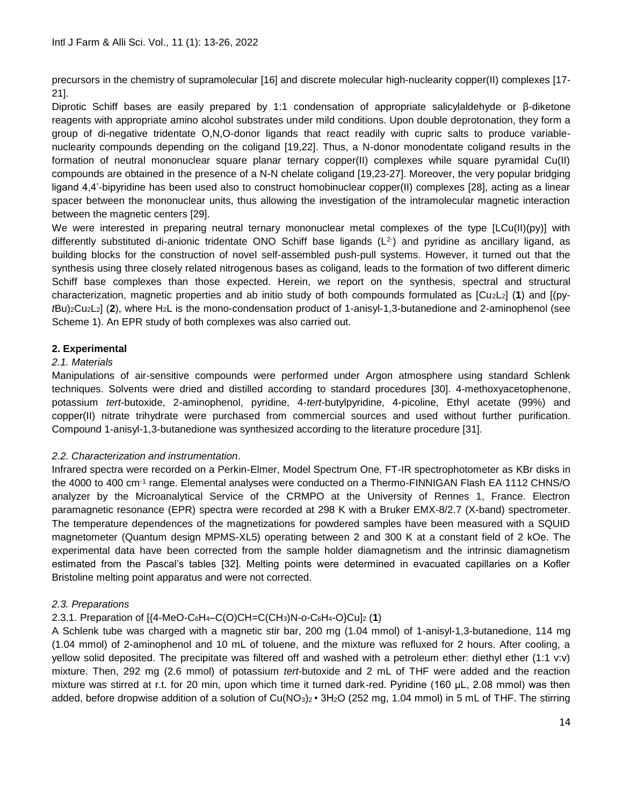precursors in the chemistry of supramolecular [16] and discrete molecular high-nuclearity copper(II) complexes [17- 21].

Diprotic Schiff bases are easily prepared by 1:1 condensation of appropriate salicylaldehyde or β-diketone reagents with appropriate amino alcohol substrates under mild conditions. Upon double deprotonation, they form a group of di-negative tridentate O,N,O-donor ligands that react readily with cupric salts to produce variablenuclearity compounds depending on the coligand [19,22]. Thus, a N-donor monodentate coligand results in the formation of neutral mononuclear square planar ternary copper(II) complexes while square pyramidal Cu(II) compounds are obtained in the presence of a N-N chelate coligand [19,23-27]. Moreover, the very popular bridging ligand 4,4'-bipyridine has been used also to construct homobinuclear copper(II) complexes [28], acting as a linear spacer between the mononuclear units, thus allowing the investigation of the intramolecular magnetic interaction between the magnetic centers [29].

We were interested in preparing neutral ternary mononuclear metal complexes of the type [LCu(II)(py)] with differently substituted di-anionic tridentate ONO Schiff base ligands ( $L^2$ ) and pyridine as ancillary ligand, as building blocks for the construction of novel self-assembled push-pull systems. However, it turned out that the synthesis using three closely related nitrogenous bases as coligand, leads to the formation of two different dimeric Schiff base complexes than those expected. Herein, we report on the synthesis, spectral and structural characterization, magnetic properties and ab initio study of both compounds formulated as [Cu2L2] (**1**) and [(py*t*Bu)2Cu2L2] (**2**), where H2L is the mono-condensation product of 1-anisyl-1,3-butanedione and 2-aminophenol (see Scheme 1). An EPR study of both complexes was also carried out.

## **2. Experimental**

#### *2.1. Materials*

Manipulations of air-sensitive compounds were performed under Argon atmosphere using standard Schlenk techniques. Solvents were dried and distilled according to standard procedures [30]. 4-methoxyacetophenone, potassium *tert*-butoxide, 2-aminophenol, pyridine, 4-*tert*-butylpyridine, 4-picoline, Ethyl acetate (99%) and copper(II) nitrate trihydrate were purchased from commercial sources and used without further purification. Compound 1-anisyl-1,3-butanedione was synthesized according to the literature procedure [31].

#### *2.2. Characterization and instrumentation*.

Infrared spectra were recorded on a Perkin-Elmer, Model Spectrum One, FT-IR spectrophotometer as KBr disks in the 4000 to 400 cm<sup>-1</sup> range. Elemental analyses were conducted on a Thermo-FINNIGAN Flash EA 1112 CHNS/O analyzer by the Microanalytical Service of the CRMPO at the University of Rennes 1, France. Electron paramagnetic resonance (EPR) spectra were recorded at 298 K with a Bruker EMX-8/2.7 (X-band) spectrometer. The temperature dependences of the magnetizations for powdered samples have been measured with a SQUID magnetometer (Quantum design MPMS-XL5) operating between 2 and 300 K at a constant field of 2 kOe. The experimental data have been corrected from the sample holder diamagnetism and the intrinsic diamagnetism estimated from the Pascal's tables [32]. Melting points were determined in evacuated capillaries on a Kofler Bristoline melting point apparatus and were not corrected.

#### *2.3. Preparations*

## 2.3.1. Preparation of [{4-MeO-C6H4–C(O)CH=C(CH3)N-*o*-C6H4-O}Cu]<sup>2</sup> (**1**)

A Schlenk tube was charged with a magnetic stir bar, 200 mg (1.04 mmol) of 1-anisyl-1,3-butanedione, 114 mg (1.04 mmol) of 2-aminophenol and 10 mL of toluene, and the mixture was refluxed for 2 hours. After cooling, a yellow solid deposited. The precipitate was filtered off and washed with a petroleum ether: diethyl ether (1:1 v:v) mixture. Then, 292 mg (2.6 mmol) of potassium *tert*-butoxide and 2 mL of THF were added and the reaction mixture was stirred at r.t. for 20 min, upon which time it turned dark-red. Pyridine (160 μL, 2.08 mmol) was then added, before dropwise addition of a solution of  $Cu(NO<sub>3</sub>)<sub>2</sub>$  • 3H<sub>2</sub>O (252 mg, 1.04 mmol) in 5 mL of THF. The stirring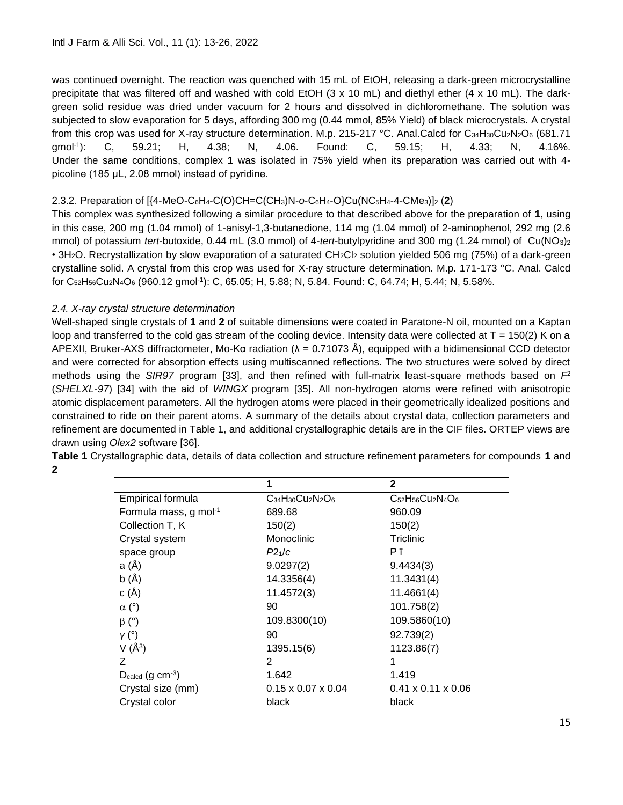was continued overnight. The reaction was quenched with 15 mL of EtOH, releasing a dark-green microcrystalline precipitate that was filtered off and washed with cold EtOH (3 x 10 mL) and diethyl ether (4 x 10 mL). The darkgreen solid residue was dried under vacuum for 2 hours and dissolved in dichloromethane. The solution was subjected to slow evaporation for 5 days, affording 300 mg (0.44 mmol, 85% Yield) of black microcrystals. A crystal from this crop was used for X-ray structure determination. M.p. 215-217 °C. Anal.Calcd for  $C_{34}H_{30}Cu_{2}N_{2}O_{6}$  (681.71  $qmol<sup>-1</sup>$ : ): C, 59.21; H, 4.38; N, 4.06. Found: C, 59.15; H, 4.33; N, 4.16%. Under the same conditions, complex **1** was isolated in 75% yield when its preparation was carried out with 4 picoline (185 μL, 2.08 mmol) instead of pyridine.

## 2.3.2. Preparation of [{4-MeO-C6H4-C(O)CH=C(CH3)N-*o*-C6H4-O}Cu(NC5H4-4-CMe3)]<sup>2</sup> (**2**)

This complex was synthesized following a similar procedure to that described above for the preparation of **1**, using in this case, 200 mg (1.04 mmol) of 1-anisyl-1,3-butanedione, 114 mg (1.04 mmol) of 2-aminophenol, 292 mg (2.6 mmol) of potassium *tert*-butoxide, 0.44 mL (3.0 mmol) of 4-*tert*-butylpyridine and 300 mg (1.24 mmol) of Cu(NO3)<sup>2</sup> • 3H<sub>2</sub>O. Recrystallization by slow evaporation of a saturated CH<sub>2</sub>Cl<sub>2</sub> solution yielded 506 mg (75%) of a dark-green crystalline solid. A crystal from this crop was used for X-ray structure determination. M.p. 171-173 °C. Anal. Calcd  $f$ or C $_{52}$ H $_{56}$ Cu $_2$ N $_4$ O $_6$  (960.12 gmol<sup>-1</sup>): C, 65.05; H, 5.88; N, 5.84. Found: C, 64.74; H, 5.44; N, 5.58%.

## *2.4. X-ray crystal structure determination*

Well-shaped single crystals of **1** and **2** of suitable dimensions were coated in Paratone-N oil, mounted on a Kaptan loop and transferred to the cold gas stream of the cooling device. Intensity data were collected at  $T = 150(2)$  K on a APEXII, Bruker-AXS diffractometer, Mo-Kα radiation (λ = 0.71073 Å), equipped with a bidimensional CCD detector and were corrected for absorption effects using multiscanned reflections. The two structures were solved by direct methods using the *SIR97* program [33], and then refined with full-matrix least-square methods based on *F*<sup>2</sup> (*SHELXL-97*) [34] with the aid of *WINGX* program [35]. All non-hydrogen atoms were refined with anisotropic atomic displacement parameters. All the hydrogen atoms were placed in their geometrically idealized positions and constrained to ride on their parent atoms. A summary of the details about crystal data, collection parameters and refinement are documented in Table 1, and additional crystallographic details are in the CIF files. ORTEP views are drawn using *Olex2* software [36].

|                                          | 1                              | $\mathbf{2}$                   |
|------------------------------------------|--------------------------------|--------------------------------|
| Empirical formula                        | $C_{34}H_{30}Cu_2N_2O_6$       | $C_{52}H_{56}Cu_2N_4O_6$       |
| Formula mass, g mol-1                    | 689.68                         | 960.09                         |
| Collection T, K                          | 150(2)                         | 150(2)                         |
| Crystal system                           | Monoclinic                     | Triclinic                      |
| space group                              | P2 <sub>1</sub> /c             | Рī                             |
| a (Å)                                    | 9.0297(2)                      | 9.4434(3)                      |
| b(A)                                     | 14.3356(4)                     | 11.3431(4)                     |
| c(A)                                     | 11.4572(3)                     | 11.4661(4)                     |
| $\alpha$ (°)                             | 90                             | 101.758(2)                     |
| $\beta$ (°)                              | 109.8300(10)                   | 109.5860(10)                   |
| $V(^{\circ})$                            | 90                             | 92.739(2)                      |
| $V(\AA^3)$                               | 1395.15(6)                     | 1123.86(7)                     |
| Ζ                                        | 2                              |                                |
| $D_{\text{calcd}}$ (g cm <sup>-3</sup> ) | 1.642                          | 1.419                          |
| Crystal size (mm)                        | $0.15 \times 0.07 \times 0.04$ | $0.41 \times 0.11 \times 0.06$ |
| Crystal color                            | black                          | black                          |

**Table 1** Crystallographic data, details of data collection and structure refinement parameters for compounds **1** and **2**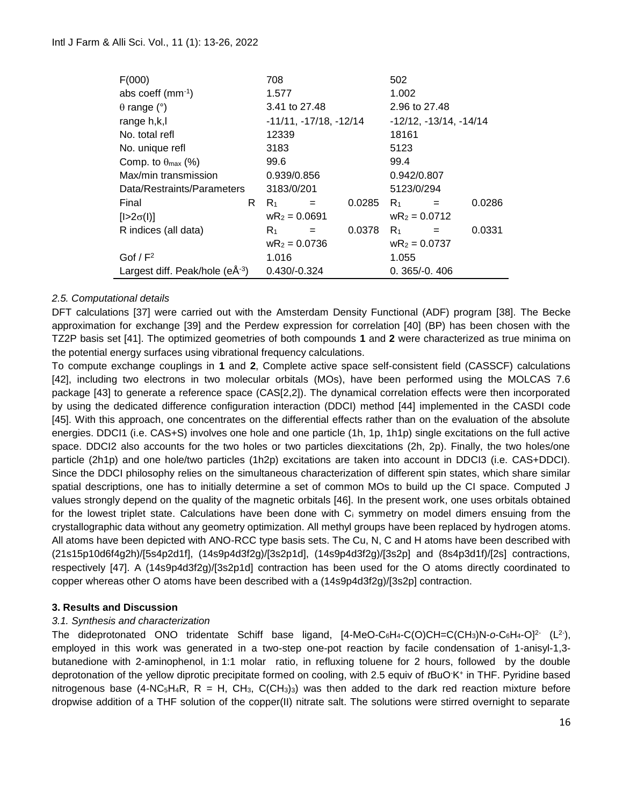| F(000)                              |    | 708                      |     | 502                            |                 |     |        |
|-------------------------------------|----|--------------------------|-----|--------------------------------|-----------------|-----|--------|
| abs coeff $(mm^{-1})$               |    | 1.577                    |     | 1.002                          |                 |     |        |
| $\theta$ range (°)                  |    | 3.41 to 27.48            |     | 2.96 to 27.48                  |                 |     |        |
| range h,k,l                         |    | $-11/11, -17/18, -12/14$ |     | $-12/12$ , $-13/14$ , $-14/14$ |                 |     |        |
| No. total refl                      |    | 12339                    |     |                                | 18161           |     |        |
| No. unique refl                     |    | 3183                     |     |                                | 5123            |     |        |
| Comp. to $\theta_{\text{max}}$ (%)  |    | 99.6                     |     |                                | 99.4            |     |        |
| Max/min transmission                |    | 0.939/0.856              |     |                                | 0.942/0.807     |     |        |
| Data/Restraints/Parameters          |    | 3183/0/201               |     | 5123/0/294                     |                 |     |        |
| Final                               | R. | $R_1$                    | $=$ | 0.0285                         | $R_1$           |     | 0.0286 |
| $[1>2\sigma(1)]$                    |    | $wR_2 = 0.0691$          |     |                                | $wR_2 = 0.0712$ |     |        |
| R indices (all data)                |    | $R_1$                    | $=$ | 0.0378                         | $R_1$           | $=$ | 0.0331 |
|                                     |    | $wR_2 = 0.0736$          |     |                                | $wR_2 = 0.0737$ |     |        |
| Gof $/F2$                           |    | 1.016                    |     |                                | 1.055           |     |        |
| Largest diff. Peak/hole $(eA^{-3})$ |    | $0.430/-0.324$           |     |                                | $0.365/-0.406$  |     |        |

#### *2.5. Computational details*

DFT calculations [37] were carried out with the Amsterdam Density Functional (ADF) program [38]. The Becke approximation for exchange [39] and the Perdew expression for correlation [40] (BP) has been chosen with the TZ2P basis set [41]. The optimized geometries of both compounds **1** and **2** were characterized as true minima on the potential energy surfaces using vibrational frequency calculations.

To compute exchange couplings in **1** and **2**, Complete active space self-consistent field (CASSCF) calculations [42], including two electrons in two molecular orbitals (MOs), have been performed using the MOLCAS 7.6 package [43] to generate a reference space (CAS[2,2]). The dynamical correlation effects were then incorporated by using the dedicated difference configuration interaction (DDCI) method [44] implemented in the CASDI code [45]. With this approach, one concentrates on the differential effects rather than on the evaluation of the absolute energies. DDCI1 (i.e. CAS+S) involves one hole and one particle (1h, 1p, 1h1p) single excitations on the full active space. DDCI2 also accounts for the two holes or two particles diexcitations (2h, 2p). Finally, the two holes/one particle (2h1p) and one hole/two particles (1h2p) excitations are taken into account in DDCI3 (i.e. CAS+DDCI). Since the DDCI philosophy relies on the simultaneous characterization of different spin states, which share similar spatial descriptions, one has to initially determine a set of common MOs to build up the CI space. Computed J values strongly depend on the quality of the magnetic orbitals [46]. In the present work, one uses orbitals obtained for the lowest triplet state. Calculations have been done with C<sub>i</sub> symmetry on model dimers ensuing from the crystallographic data without any geometry optimization. All methyl groups have been replaced by hydrogen atoms. All atoms have been depicted with ANO-RCC type basis sets. The Cu, N, C and H atoms have been described with (21s15p10d6f4g2h)/[5s4p2d1f], (14s9p4d3f2g)/[3s2p1d], (14s9p4d3f2g)/[3s2p] and (8s4p3d1f)/[2s] contractions, respectively [47]. A (14s9p4d3f2g)/[3s2p1d] contraction has been used for the O atoms directly coordinated to copper whereas other O atoms have been described with a (14s9p4d3f2g)/[3s2p] contraction.

#### **3. Results and Discussion**

#### *3.1. Synthesis and characterization*

The dideprotonated ONO tridentate Schiff base ligand, [4-MeO-C<sub>6</sub>H<sub>4</sub>-C(O)CH=C(CH<sub>3</sub>)N-o-C<sub>6</sub>H<sub>4</sub>-O]<sup>2-</sup> (L<sup>2-</sup>), employed in this work was generated in a two-step one-pot reaction by facile condensation of 1-anisyl-1,3 butanedione with 2-aminophenol, in 1:1 molar ratio, in refluxing toluene for 2 hours, followed by the double deprotonation of the yellow diprotic precipitate formed on cooling, with 2.5 equiv of *t*BuO-K<sup>+</sup> in THF. Pyridine based nitrogenous base (4-NC<sub>5</sub>H<sub>4</sub>R, R = H, CH<sub>3</sub>, C(CH<sub>3</sub>)<sub>3</sub>) was then added to the dark red reaction mixture before dropwise addition of a THF solution of the copper(II) nitrate salt. The solutions were stirred overnight to separate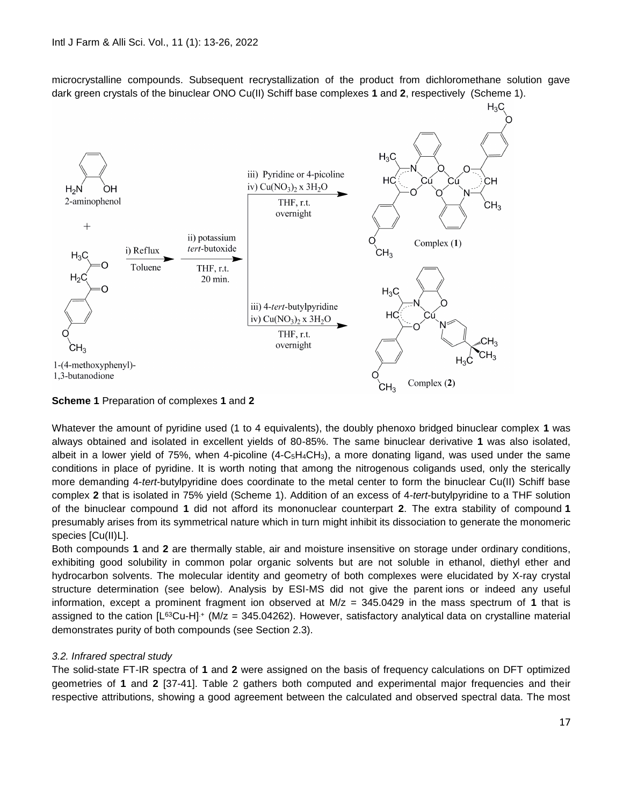microcrystalline compounds. Subsequent recrystallization of the product from dichloromethane solution gave dark green crystals of the binuclear ONO Cu(II) Schiff base complexes **1** and **2**, respectively (Scheme 1).



#### **Scheme 1** Preparation of complexes **1** and **2**

Whatever the amount of pyridine used (1 to 4 equivalents), the doubly phenoxo bridged binuclear complex **1** was always obtained and isolated in excellent yields of 80-85%. The same binuclear derivative **1** was also isolated, albeit in a lower yield of 75%, when 4-picoline  $(4-C<sub>5</sub>H<sub>4</sub>CH<sub>3</sub>)$ , a more donating ligand, was used under the same conditions in place of pyridine. It is worth noting that among the nitrogenous coligands used, only the sterically more demanding 4-*tert*-butylpyridine does coordinate to the metal center to form the binuclear Cu(II) Schiff base complex **2** that is isolated in 75% yield (Scheme 1). Addition of an excess of 4-*tert*-butylpyridine to a THF solution of the binuclear compound **1** did not afford its mononuclear counterpart **2**. The extra stability of compound **1** presumably arises from its symmetrical nature which in turn might inhibit its dissociation to generate the monomeric species [Cu(II)L].

Both compounds **1** and **2** are thermally stable, air and moisture insensitive on storage under ordinary conditions, exhibiting good solubility in common polar organic solvents but are not soluble in ethanol, diethyl ether and hydrocarbon solvents. The molecular identity and geometry of both complexes were elucidated by X-ray crystal structure determination (see below). Analysis by ESI-MS did not give the parent ions or indeed any useful information, except a prominent fragment ion observed at M/z = 345.0429 in the mass spectrum of **1** that is assigned to the cation  $[L^{63}Cu-H]^+$  (M/z = 345.04262). However, satisfactory analytical data on crystalline material demonstrates purity of both compounds (see Section 2.3).

#### *3.2. Infrared spectral study*

The solid-state FT-IR spectra of **1** and **2** were assigned on the basis of frequency calculations on DFT optimized geometries of **1** and **2** [37-41]. Table 2 gathers both computed and experimental major frequencies and their respective attributions, showing a good agreement between the calculated and observed spectral data. The most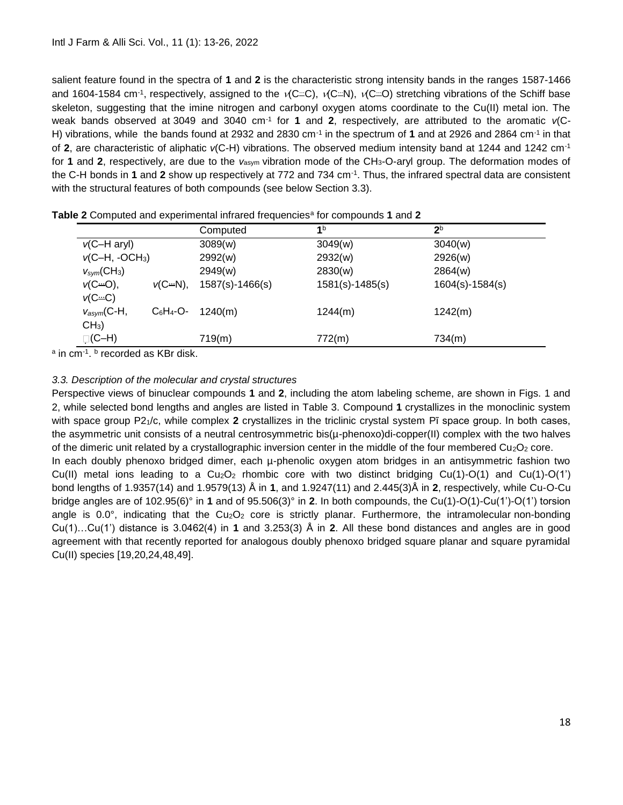salient feature found in the spectra of **1** and **2** is the characteristic strong intensity bands in the ranges 1587-1466 and 1604-1584 cm<sup>-1</sup>, respectively, assigned to the  $\sqrt{C}$ .  $\sqrt{C}$ .  $\sqrt{C}$ .  $\sqrt{C}$ . stretching vibrations of the Schiff base skeleton, suggesting that the imine nitrogen and carbonyl oxygen atoms coordinate to the Cu(II) metal ion. The weak bands observed at 3049 and 3040 cm-1 for **1** and **2**, respectively, are attributed to the aromatic *ν*(C-H) vibrations, while the bands found at 2932 and 2830 cm<sup>-1</sup> in the spectrum of 1 and at 2926 and 2864 cm<sup>-1</sup> in that of **2**, are characteristic of aliphatic *ν*(C-H) vibrations. The observed medium intensity band at 1244 and 1242 cm-1 for **1** and **2**, respectively, are due to the *ν*asym vibration mode of the CH3-O-aryl group. The deformation modes of the C-H bonds in **1** and **2** show up respectively at 772 and 734 cm-1 . Thus, the infrared spectral data are consistent with the structural features of both compounds (see below Section 3.3).

|                                      |              | Computed          | 1 <sup>b</sup>      | 2 <sup>b</sup>      |
|--------------------------------------|--------------|-------------------|---------------------|---------------------|
| $v$ (C-H aryl)                       |              | 3089(w)           | 3049(w)             | 3040(w)             |
| $v(C-H, -OCH3)$                      |              | 2992(w)           | 2932(w)             | 2926(w)             |
| $V_{sym}(CH_3)$                      |              | 2949(w)           | 2830(w)             | 2864(w)             |
| $v(C \rightarrow O)$ ,<br>$V(C = C)$ | $v(C - N)$ , | $1587(s)-1466(s)$ | $1581(s) - 1485(s)$ | $1604(s) - 1584(s)$ |
| $V_{asym}$ (C-H,<br>$CH3$ )          | C6H4-O-      | 1240(m)           | 1244(m)             | 1242(m)             |
| ़(C–H)                               |              | 719(m)            | 772(m)              | 734(m)              |

<sup>a</sup> in cm<sup>-1</sup>. <sup>b</sup> recorded as KBr disk.

## *3.3. Description of the molecular and crystal structures*

Perspective views of binuclear compounds **1** and **2**, including the atom labeling scheme, are shown in Figs. 1 and 2, while selected bond lengths and angles are listed in Table 3. Compound **1** crystallizes in the monoclinic system with space group P21/c, while complex **2** crystallizes in the triclinic crystal system Pī space group. In both cases, the asymmetric unit consists of a neutral centrosymmetric bis(µ-phenoxo)di-copper(II) complex with the two halves of the dimeric unit related by a crystallographic inversion center in the middle of the four membered  $Cu<sub>2</sub>O<sub>2</sub>$  core. In each doubly phenoxo bridged dimer, each µ-phenolic oxygen atom bridges in an antisymmetric fashion two Cu(II) metal ions leading to a  $Cu<sub>2</sub>O<sub>2</sub>$  rhombic core with two distinct bridging Cu(1)-O(1) and Cu(1)-O(1') bond lengths of 1.9357(14) and 1.9579(13) Å in **1**, and 1.9247(11) and 2.445(3)Å in **2**, respectively, while Cu-O-Cu bridge angles are of 102.95(6)° in **1** and of 95.506(3)° in **2**. In both compounds, the Cu(1)-O(1)-Cu(1')-O(1') torsion angle is  $0.0^{\circ}$ , indicating that the  $Cu<sub>2</sub>O<sub>2</sub>$  core is strictly planar. Furthermore, the intramolecular non-bonding Cu(1)…Cu(1') distance is 3.0462(4) in **1** and 3.253(3) Å in **2**. All these bond distances and angles are in good agreement with that recently reported for analogous doubly phenoxo bridged square planar and square pyramidal Cu(II) species [19,20,24,48,49].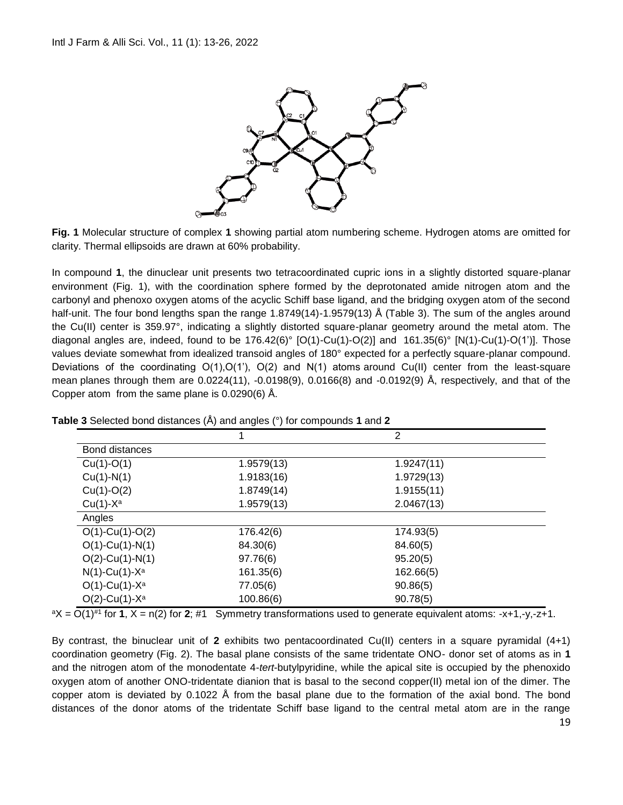

**Fig. 1** Molecular structure of complex **1** showing partial atom numbering scheme. Hydrogen atoms are omitted for clarity. Thermal ellipsoids are drawn at 60% probability.

In compound **1**, the dinuclear unit presents two tetracoordinated cupric ions in a slightly distorted square-planar environment (Fig. 1), with the coordination sphere formed by the deprotonated amide nitrogen atom and the carbonyl and phenoxo oxygen atoms of the acyclic Schiff base ligand, and the bridging oxygen atom of the second half-unit. The four bond lengths span the range 1.8749(14)-1.9579(13) Å (Table 3). The sum of the angles around the Cu(II) center is 359.97°, indicating a slightly distorted square-planar geometry around the metal atom. The diagonal angles are, indeed, found to be  $176.42(6)°$  [O(1)-Cu(1)-O(2)] and  $161.35(6)°$  [N(1)-Cu(1)-O(1')]. Those values deviate somewhat from idealized transoid angles of 180° expected for a perfectly square-planar compound. Deviations of the coordinating  $O(1)$ ,  $O(1')$ ,  $O(2)$  and  $N(1)$  atoms around Cu(II) center from the least-square mean planes through them are 0.0224(11), -0.0198(9), 0.0166(8) and -0.0192(9) Å, respectively, and that of the Copper atom from the same plane is 0.0290(6) Å.

|                              |            | $\overline{2}$ |  |
|------------------------------|------------|----------------|--|
| <b>Bond distances</b>        |            |                |  |
| $Cu(1)-O(1)$                 | 1.9579(13) | 1.9247(11)     |  |
| $Cu(1)-N(1)$                 | 1.9183(16) | 1.9729(13)     |  |
| $Cu(1)-O(2)$                 | 1.8749(14) | 1.9155(11)     |  |
| $Cu(1)-X^a$                  | 1.9579(13) | 2.0467(13)     |  |
| Angles                       |            |                |  |
| $O(1)$ -Cu(1)-O(2)           | 176.42(6)  | 174.93(5)      |  |
| $O(1)$ -Cu(1)-N(1)           | 84.30(6)   | 84.60(5)       |  |
| $O(2)$ -Cu(1)-N(1)           | 97.76(6)   | 95.20(5)       |  |
| $N(1)$ -Cu(1)-X <sup>a</sup> | 161.35(6)  | 162.66(5)      |  |
| $O(1)$ -Cu(1)-X <sup>a</sup> | 77.05(6)   | 90.86(5)       |  |
| $O(2)$ -Cu(1)-X <sup>a</sup> | 100.86(6)  | 90.78(5)       |  |

**Table 3** Selected bond distances (Å) and angles (°) for compounds **1** and **2**

<sup>a</sup>X = O(1)#1 for **1**, X = n(2) for **2**; #1 Symmetry transformations used to generate equivalent atoms: -x+1,-y,-z+1.

By contrast, the binuclear unit of **2** exhibits two pentacoordinated Cu(II) centers in a square pyramidal (4+1) coordination geometry (Fig. 2). The basal plane consists of the same tridentate ONO- donor set of atoms as in **1** and the nitrogen atom of the monodentate 4-*tert*-butylpyridine, while the apical site is occupied by the phenoxido oxygen atom of another ONO-tridentate dianion that is basal to the second copper(II) metal ion of the dimer. The copper atom is deviated by 0.1022 Å from the basal plane due to the formation of the axial bond. The bond distances of the donor atoms of the tridentate Schiff base ligand to the central metal atom are in the range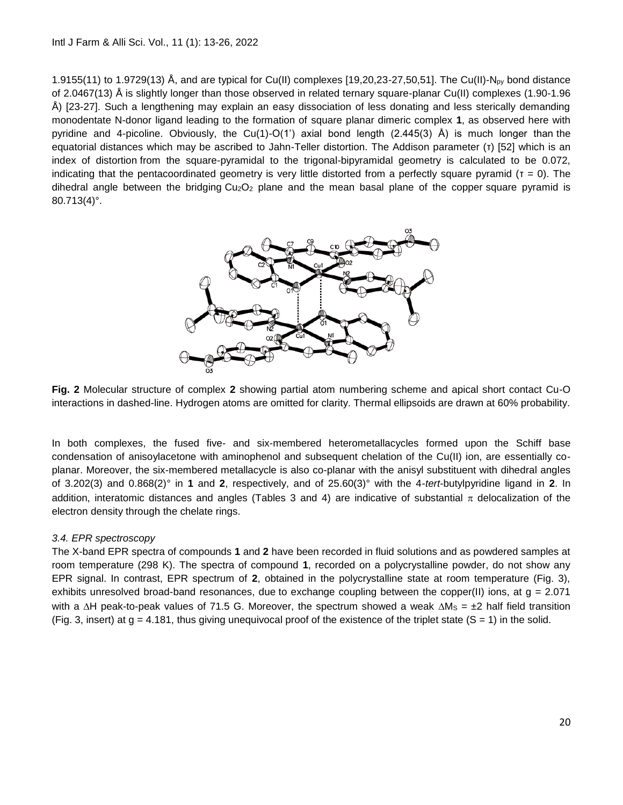1.9155(11) to 1.9729(13) Å, and are typical for Cu(II) complexes [19,20,23-27,50,51]. The Cu(II)-Npy bond distance of 2.0467(13) Å is slightly longer than those observed in related ternary square-planar Cu(II) complexes (1.90-1.96 Å) [23-27]. Such a lengthening may explain an easy dissociation of less donating and less sterically demanding monodentate N-donor ligand leading to the formation of square planar dimeric complex **1**, as observed here with pyridine and 4-picoline. Obviously, the Cu(1)-O(1') axial bond length (2.445(3)  $\hat{A}$ ) is much longer than the equatorial distances which may be ascribed to Jahn-Teller distortion. The Addison parameter (τ) [52] which is an index of distortion from the square-pyramidal to the trigonal-bipyramidal geometry is calculated to be 0.072, indicating that the pentacoordinated geometry is very little distorted from a perfectly square pyramid ( $\tau = 0$ ). The dihedral angle between the bridging  $Cu<sub>2</sub>O<sub>2</sub>$  plane and the mean basal plane of the copper square pyramid is 80.713(4)°.



**Fig. 2** Molecular structure of complex **2** showing partial atom numbering scheme and apical short contact Cu-O interactions in dashed-line. Hydrogen atoms are omitted for clarity. Thermal ellipsoids are drawn at 60% probability.

In both complexes, the fused five- and six-membered heterometallacycles formed upon the Schiff base condensation of anisoylacetone with aminophenol and subsequent chelation of the Cu(II) ion, are essentially coplanar. Moreover, the six-membered metallacycle is also co-planar with the anisyl substituent with dihedral angles of 3.202(3) and 0.868(2)° in **1** and **2**, respectively, and of 25.60(3)° with the 4-*tert*-butylpyridine ligand in **2**. In addition, interatomic distances and angles (Tables 3 and 4) are indicative of substantial  $\pi$  delocalization of the electron density through the chelate rings.

## *3.4. EPR spectroscopy*

The X-band EPR spectra of compounds **1** and **2** have been recorded in fluid solutions and as powdered samples at room temperature (298 K). The spectra of compound **1**, recorded on a polycrystalline powder, do not show any EPR signal. In contrast, EPR spectrum of **2**, obtained in the polycrystalline state at room temperature (Fig. 3), exhibits unresolved broad-band resonances, due to exchange coupling between the copper(II) ions, at  $g = 2.071$ with a  $\Delta H$  peak-to-peak values of 71.5 G. Moreover, the spectrum showed a weak  $\Delta M_s = \pm 2$  half field transition (Fig. 3, insert) at  $g = 4.181$ , thus giving unequivocal proof of the existence of the triplet state (S = 1) in the solid.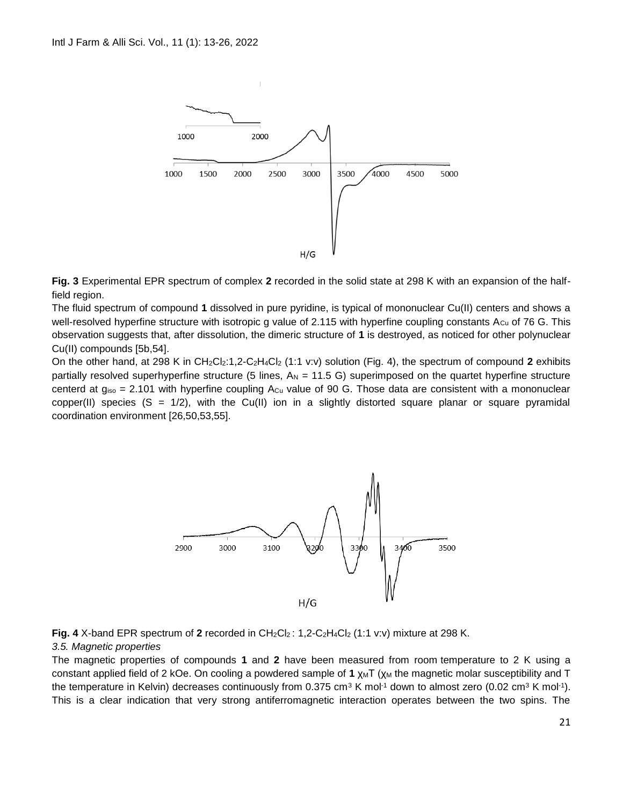

**Fig. 3** Experimental EPR spectrum of complex **2** recorded in the solid state at 298 K with an expansion of the halffield region.

The fluid spectrum of compound **1** dissolved in pure pyridine, is typical of mononuclear Cu(II) centers and shows a well-resolved hyperfine structure with isotropic g value of 2.115 with hyperfine coupling constants  $A_{Cu}$  of 76 G. This observation suggests that, after dissolution, the dimeric structure of **1** is destroyed, as noticed for other polynuclear Cu(II) compounds [5b,54].

On the other hand, at 298 K in CH<sub>2</sub>Cl<sub>2</sub>:1,2-C<sub>2</sub>H<sub>4</sub>Cl<sub>2</sub> (1:1 v:v) solution (Fig. 4), the spectrum of compound 2 exhibits partially resolved superhyperfine structure (5 lines,  $A_N = 11.5$  G) superimposed on the quartet hyperfine structure centerd at  $g_{iso} = 2.101$  with hyperfine coupling  $A_{Cu}$  value of 90 G. Those data are consistent with a mononuclear copper(II) species  $(S = 1/2)$ , with the Cu(II) ion in a slightly distorted square planar or square pyramidal coordination environment [26,50,53,55].



**Fig. 4** X-band EPR spectrum of 2 recorded in  $CH_2Cl_2$ : 1,2-C<sub>2</sub>H<sub>4</sub>Cl<sub>2</sub> (1:1 v:v) mixture at 298 K.

#### *3.5. Magnetic properties*

The magnetic properties of compounds **1** and **2** have been measured from room temperature to 2 K using a constant applied field of 2 kOe. On cooling a powdered sample of 1 χ<sub>M</sub>T (χ<sub>M</sub> the magnetic molar susceptibility and T the temperature in Kelvin) decreases continuously from 0.375 cm<sup>3</sup> K mol<sup>-1</sup> down to almost zero (0.02 cm<sup>3</sup> K mol<sup>-1</sup>). This is a clear indication that very strong antiferromagnetic interaction operates between the two spins. The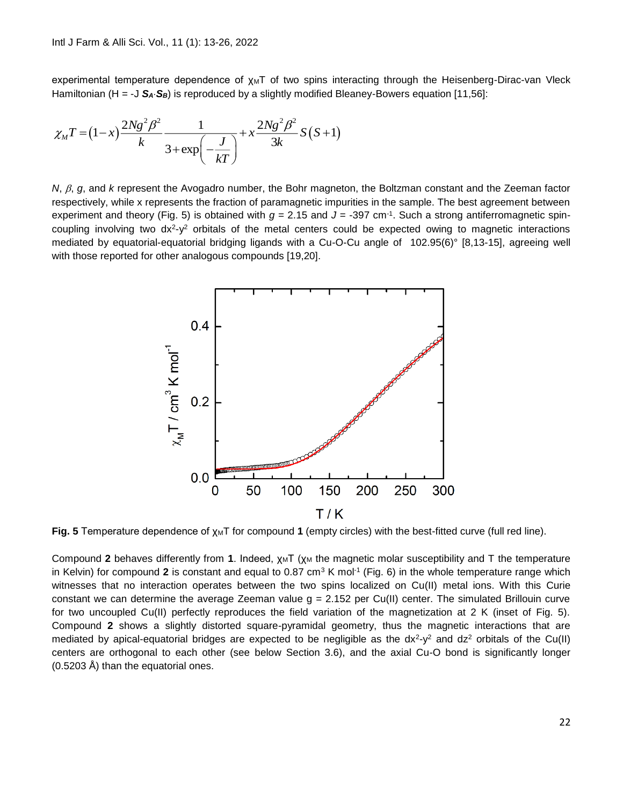experimental temperature dependence of  $x_MT$  of two spins interacting through the Heisenberg-Dirac-van Vleck Hamiltonian (H = -J S<sub>A</sub>·S<sub>B</sub>) is reproduced by a slightly modified Bleaney-Bowers equation [11,56]:

$$
\chi_{M}T = (1-x)\frac{2Ng^{2}\beta^{2}}{k} \frac{1}{3+\exp\left(-\frac{J}{kT}\right)} + x\frac{2Ng^{2}\beta^{2}}{3k}S(S+1)
$$

*N*,  $\beta$ , g, and *k* represent the Avogadro number, the Bohr magneton, the Boltzman constant and the Zeeman factor respectively, while x represents the fraction of paramagnetic impurities in the sample. The best agreement between experiment and theory (Fig. 5) is obtained with *g* = 2.15 and *J* = -397 cm-1 . Such a strong antiferromagnetic spincoupling involving two  $dx^2-y^2$  orbitals of the metal centers could be expected owing to magnetic interactions mediated by equatorial-equatorial bridging ligands with a Cu-O-Cu angle of 102.95(6)° [8,13-15], agreeing well with those reported for other analogous compounds [19,20].



**Fig. 5** Temperature dependence of  $χ_MT$  for compound 1 (empty circles) with the best-fitted curve (full red line).

Compound 2 behaves differently from 1. Indeed, χ<sub>M</sub>T (χ<sub>M</sub> the magnetic molar susceptibility and T the temperature in Kelvin) for compound 2 is constant and equal to 0.87 cm<sup>3</sup> K mol<sup>-1</sup> (Fig. 6) in the whole temperature range which witnesses that no interaction operates between the two spins localized on Cu(II) metal ions. With this Curie constant we can determine the average Zeeman value  $g = 2.152$  per Cu(II) center. The simulated Brillouin curve for two uncoupled Cu(II) perfectly reproduces the field variation of the magnetization at 2 K (inset of Fig. 5). Compound **2** shows a slightly distorted square-pyramidal geometry, thus the magnetic interactions that are mediated by apical-equatorial bridges are expected to be negligible as the  $dx^2-y^2$  and  $dz^2$  orbitals of the Cu(II) centers are orthogonal to each other (see below Section 3.6), and the axial Cu-O bond is significantly longer (0.5203 Å) than the equatorial ones.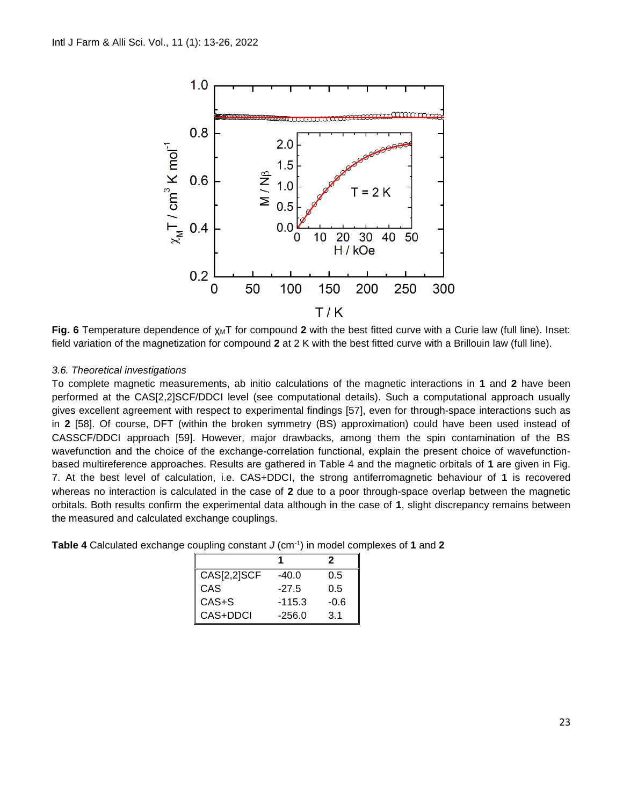

Fig. 6 Temperature dependence of χ<sub>M</sub>T for compound 2 with the best fitted curve with a Curie law (full line). Inset: field variation of the magnetization for compound **2** at 2 K with the best fitted curve with a Brillouin law (full line).

## *3.6. Theoretical investigations*

To complete magnetic measurements, ab initio calculations of the magnetic interactions in **1** and **2** have been performed at the CAS[2,2]SCF/DDCI level (see computational details). Such a computational approach usually gives excellent agreement with respect to experimental findings [57], even for through-space interactions such as in **2** [58]. Of course, DFT (within the broken symmetry (BS) approximation) could have been used instead of CASSCF/DDCI approach [59]. However, major drawbacks, among them the spin contamination of the BS wavefunction and the choice of the exchange-correlation functional, explain the present choice of wavefunctionbased multireference approaches. Results are gathered in Table 4 and the magnetic orbitals of **1** are given in Fig. 7. At the best level of calculation, i.e. CAS+DDCI, the strong antiferromagnetic behaviour of **1** is recovered whereas no interaction is calculated in the case of **2** due to a poor through-space overlap between the magnetic orbitals. Both results confirm the experimental data although in the case of **1**, slight discrepancy remains between the measured and calculated exchange couplings.

| <b>Table 4</b> Calculated exchange coupling constant $J$ (cm <sup>-1</sup> ) in model complexes of 1 and 2 |  |
|------------------------------------------------------------------------------------------------------------|--|
|------------------------------------------------------------------------------------------------------------|--|

|             |          | 2      |
|-------------|----------|--------|
| CAS[2,2]SCF | $-40.0$  | 0.5    |
| CAS         | $-27.5$  | 0.5    |
| $CAS + S$   | $-115.3$ | $-0.6$ |
| CAS+DDCI    | $-256.0$ | 3.1    |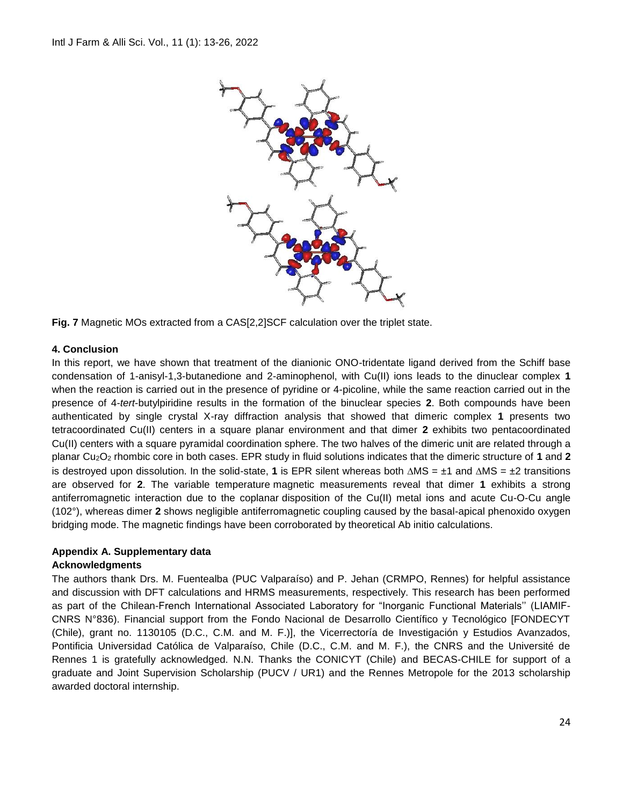

**Fig. 7** Magnetic MOs extracted from a CAS[2,2]SCF calculation over the triplet state.

## **4. Conclusion**

In this report, we have shown that treatment of the dianionic ONO-tridentate ligand derived from the Schiff base condensation of 1-anisyl-1,3-butanedione and 2-aminophenol, with Cu(II) ions leads to the dinuclear complex **1** when the reaction is carried out in the presence of pyridine or 4-picoline, while the same reaction carried out in the presence of 4-*tert*-butylpiridine results in the formation of the binuclear species **2**. Both compounds have been authenticated by single crystal X-ray diffraction analysis that showed that dimeric complex **1** presents two tetracoordinated Cu(II) centers in a square planar environment and that dimer **2** exhibits two pentacoordinated Cu(II) centers with a square pyramidal coordination sphere. The two halves of the dimeric unit are related through a planar Cu2O<sup>2</sup> rhombic core in both cases. EPR study in fluid solutions indicates that the dimeric structure of **1** and **2** is destroyed upon dissolution. In the solid-state, 1 is EPR silent whereas both  $\triangle MS = \pm 1$  and  $\triangle MS = \pm 2$  transitions are observed for **2**. The variable temperature magnetic measurements reveal that dimer **1** exhibits a strong antiferromagnetic interaction due to the coplanar disposition of the Cu(II) metal ions and acute Cu-O-Cu angle (102°), whereas dimer **2** shows negligible antiferromagnetic coupling caused by the basal-apical phenoxido oxygen bridging mode. The magnetic findings have been corroborated by theoretical Ab initio calculations.

## **Appendix A. Supplementary data**

## **Acknowledgments**

The authors thank Drs. M. Fuentealba (PUC Valparaíso) and P. Jehan (CRMPO, Rennes) for helpful assistance and discussion with DFT calculations and HRMS measurements, respectively. This research has been performed as part of the Chilean-French International Associated Laboratory for "Inorganic Functional Materials'' (LIAMIF-CNRS N°836). Financial support from the Fondo Nacional de Desarrollo Científico y Tecnológico [FONDECYT (Chile), grant no. 1130105 (D.C., C.M. and M. F.)], the Vicerrectoría de Investigación y Estudios Avanzados, Pontificia Universidad Católica de Valparaíso, Chile (D.C., C.M. and M. F.), the CNRS and the Université de Rennes 1 is gratefully acknowledged. N.N. Thanks the CONICYT (Chile) and BECAS-CHILE for support of a graduate and Joint Supervision Scholarship (PUCV / UR1) and the Rennes Metropole for the 2013 scholarship awarded doctoral internship.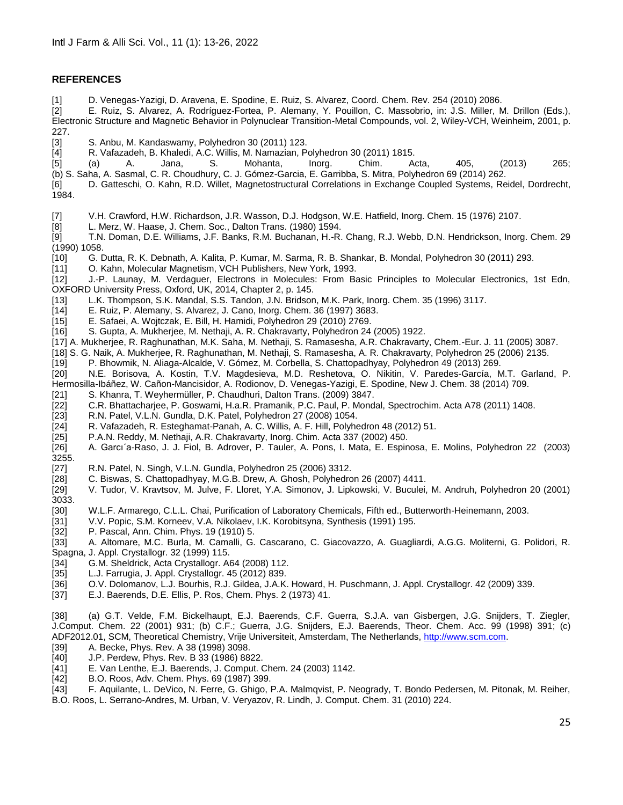#### **REFERENCES**

[1] D. Venegas-Yazigi, D. Aravena, E. Spodine, E. Ruiz, S. Alvarez, Coord. Chem. Rev. 254 (2010) 2086.

[2] E. Ruiz, S. Alvarez, A. Rodríguez-Fortea, P. Alemany, Y. Pouillon, C. Massobrio, in: J.S. Miller, M. Drillon (Eds.), Electronic Structure and Magnetic Behavior in Polynuclear Transition-Metal Compounds, vol. 2, Wiley-VCH, Weinheim, 2001, p. 227.

[3] S. Anbu, M. Kandaswamy, Polyhedron 30 (2011) 123.

[4] R. Vafazadeh, B. Khaledi, A.C. Willis, M. Namazian, Polyhedron 30 (2011) 1815.

- [5] (a) A. Jana, S. Mohanta, Inorg. Chim. Acta, 405, (2013) 265; (b) S. Saha, A. Sasmal, C. R. Choudhury, C. J. Gómez-Garcia, E. Garribba, S. Mitra, Polyhedron 69 (2014) 262.
- [6] D. Gatteschi, O. Kahn, R.D. Willet, Magnetostructural Correlations in Exchange Coupled Systems, Reidel, Dordrecht, 1984.
- [7] V.H. Crawford, H.W. Richardson, J.R. Wasson, D.J. Hodgson, W.E. Hatfield, Inorg. Chem. 15 (1976) 2107.
- [8] L. Merz, W. Haase, J. Chem. Soc., Dalton Trans. (1980) 1594.

[9] T.N. Doman, D.E. Williams, J.F. Banks, R.M. Buchanan, H.-R. Chang, R.J. Webb, D.N. Hendrickson, Inorg. Chem. 29 (1990) 1058.

[10] G. Dutta, R. K. Debnath, A. Kalita, P. Kumar, M. Sarma, R. B. Shankar, B. Mondal, Polyhedron 30 (2011) 293.<br>[11] O. Kahn, Molecular Magnetism, VCH Publishers, New York, 1993.

[11] O. Kahn, Molecular Magnetism, VCH Publishers, New York, 1993.

[12] J.-P. Launay, M. Verdaguer, Electrons in Molecules: From Basic Principles to Molecular Electronics, 1st Edn, OXFORD University Press, Oxford, UK, 2014, Chapter 2, p. 145.

- [13] L.K. Thompson, S.K. Mandal, S.S. Tandon, J.N. Bridson, M.K. Park, Inorg. Chem. 35 (1996) 3117.
- [14] E. Ruiz, P. Alemany, S. Alvarez, J. Cano, Inorg. Chem. 36 (1997) 3683.
- [15] E. Safaei, A. Wojtczak, E. Bill, H. Hamidi, Polyhedron 29 (2010) 2769.
- [16] S. Gupta, A. Mukherjee, M. Nethaji, A. R. Chakravarty, Polyhedron 24 (2005) 1922.
- [17] A. Mukherjee, R. Raghunathan, M.K. Saha, M. Nethaji, S. Ramasesha, A.R. Chakravarty, Chem.-Eur. J. 11 (2005) 3087.
- [18] S. G. Naik, A. Mukherjee, R. Raghunathan, M. Nethaji, S. Ramasesha, A. R. Chakravarty, Polyhedron 25 (2006) 2135.
- [19] P. Bhowmik, N. Aliaga-Alcalde, V. Gómez, M. Corbella, S. Chattopadhyay, Polyhedron 49 (2013) 269.

[20] N.E. Borisova, A. Kostin, T.V. Magdesieva, M.D. Reshetova, O. Nikitin, V. Paredes-García, M.T. Garland, P. Hermosilla-Ibáñez, W. Cañon-Mancisidor, A. Rodionov, D. Venegas-Yazigi, E. Spodine, New J. Chem. 38 (2014) 709.

- [21] S. Khanra, T. Weyhermüller, P. Chaudhuri, Dalton Trans. (2009) 3847.
- [22] C.R. Bhattacharjee, P. Goswami, H.a.R. Pramanik, P.C. Paul, P. Mondal, Spectrochim. Acta A78 (2011) 1408.
- [23] R.N. Patel, V.L.N. Gundla, D.K. Patel, Polyhedron 27 (2008) 1054.
- [24] R. Vafazadeh, R. Esteghamat-Panah, A. C. Willis, A. F. Hill, Polyhedron 48 (2012) 51.
- [25] P.A.N. Reddy, M. Nethaji, A.R. Chakravarty, Inorg. Chim. Acta 337 (2002) 450.
- [26] A. Garcı´a-Raso, J. J. Fiol, B. Adrover, P. Tauler, A. Pons, I. Mata, E. Espinosa, E. Molins, Polyhedron 22 (2003) 3255.
- 
- [27] R.N. Patel, N. Singh, V.L.N. Gundla, Polyhedron 25 (2006) 3312.
- [28] C. Biswas, S. Chattopadhyay, M.G.B. Drew, A. Ghosh, Polyhedron 26 (2007) 4411.
- [29] V. Tudor, V. Kravtsov, M. Julve, F. Lloret, Y.A. Simonov, J. Lipkowski, V. Buculei, M. Andruh, Polyhedron 20 (2001) 3033.
- [30] W.L.F. Armarego, C.L.L. Chai, Purification of Laboratory Chemicals, Fifth ed., Butterworth-Heinemann, 2003.
- [31] V.V. Popic, S.M. Korneev, V.A. Nikolaev, I.K. Korobitsyna, Synthesis (1991) 195.<br>[32] P. Pascal, Ann. Chim. Phys. 19 (1910) 5.
- [32] P. Pascal, Ann. Chim. Phys. 19 (1910) 5.
- [33] A. Altomare, M.C. Burla, M. Camalli, G. Cascarano, C. Giacovazzo, A. Guagliardi, A.G.G. Moliterni, G. Polidori, R. Spagna, J. Appl. Crystallogr. 32 (1999) 115.
- [34] G.M. Sheldrick, Acta Crystallogr. A64 (2008) 112.
- [35] L.J. Farrugia, J. Appl. Crystallogr. 45 (2012) 839.
- [36] O.V. Dolomanov, L.J. Bourhis, R.J. Gildea, J.A.K. Howard, H. Puschmann, J. Appl. Crystallogr. 42 (2009) 339.<br>[37] E.J. Baerends, D.E. Ellis, P. Ros, Chem. Phys. 2 (1973) 41.
- [37] E.J. Baerends, D.E. Ellis, P. Ros, Chem. Phys. 2 (1973) 41.

[38] (a) G.T. Velde, F.M. Bickelhaupt, E.J. Baerends, C.F. Guerra, S.J.A. van Gisbergen, J.G. Snijders, T. Ziegler, J.Comput. Chem. 22 (2001) 931; (b) C.F.; Guerra, J.G. Snijders, E.J. Baerends, Theor. Chem. Acc. 99 (1998) 391; (c) ADF2012.01, SCM, Theoretical Chemistry, Vrije Universiteit, Amsterdam, The Netherlands[, http://www.scm.com.](http://www.scm.com/)

- [39] A. Becke, Phys. Rev. A 38 (1998) 3098.
- [40] J.P. Perdew, Phys. Rev. B 33 (1986) 8822.
- [41] E. Van Lenthe, E.J. Baerends, J. Comput. Chem. 24 (2003) 1142.
- [42] B.O. Roos, Adv. Chem. Phys. 69 (1987) 399.

[43] F. Aquilante, L. DeVico, N. Ferre, G. Ghigo, P.A. Malmqvist, P. Neogrady, T. Bondo Pedersen, M. Pitonak, M. Reiher, B.O. Roos, L. Serrano-Andres, M. Urban, V. Veryazov, R. Lindh, J. Comput. Chem. 31 (2010) 224.